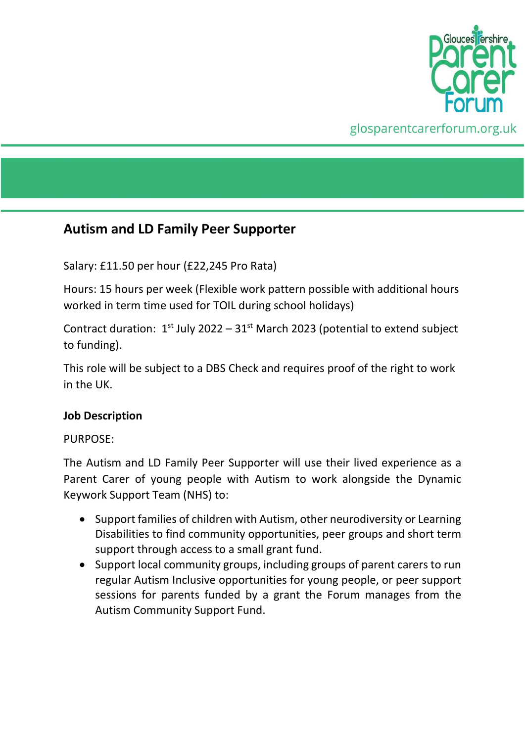

glosparentcarerforum.org.uk

# **Autism and LD Family Peer Supporter**

Salary: £11.50 per hour (£22,245 Pro Rata)

Hours: 15 hours per week (Flexible work pattern possible with additional hours worked in term time used for TOIL during school holidays)

Contract duration:  $1^{st}$  July 2022 –  $31^{st}$  March 2023 (potential to extend subject to funding).

This role will be subject to a DBS Check and requires proof of the right to work in the UK.

## **Job Description**

PURPOSE:

The Autism and LD Family Peer Supporter will use their lived experience as a Parent Carer of young people with Autism to work alongside the Dynamic Keywork Support Team (NHS) to:

- Support families of children with Autism, other neurodiversity or Learning Disabilities to find community opportunities, peer groups and short term support through access to a small grant fund.
- Support local community groups, including groups of parent carers to run regular Autism Inclusive opportunities for young people, or peer support sessions for parents funded by a grant the Forum manages from the Autism Community Support Fund.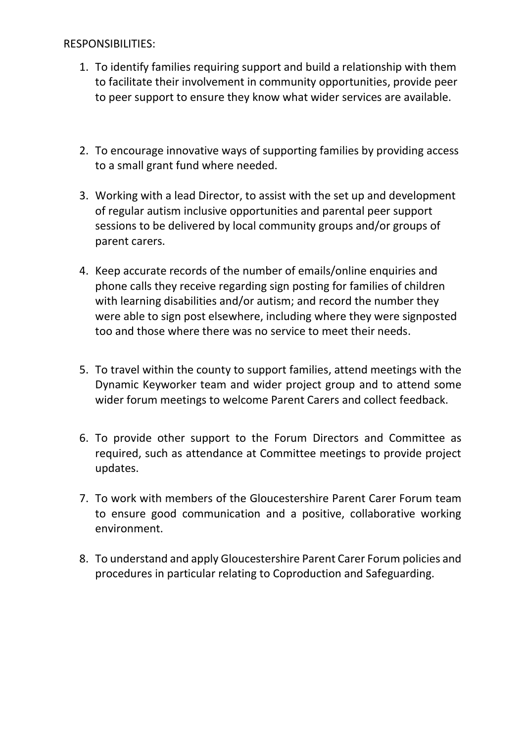RESPONSIBILITIES:

- 1. To identify families requiring support and build a relationship with them to facilitate their involvement in community opportunities, provide peer to peer support to ensure they know what wider services are available.
- 2. To encourage innovative ways of supporting families by providing access to a small grant fund where needed.
- 3. Working with a lead Director, to assist with the set up and development of regular autism inclusive opportunities and parental peer support sessions to be delivered by local community groups and/or groups of parent carers.
- 4. Keep accurate records of the number of emails/online enquiries and phone calls they receive regarding sign posting for families of children with learning disabilities and/or autism; and record the number they were able to sign post elsewhere, including where they were signposted too and those where there was no service to meet their needs.
- 5. To travel within the county to support families, attend meetings with the Dynamic Keyworker team and wider project group and to attend some wider forum meetings to welcome Parent Carers and collect feedback.
- 6. To provide other support to the Forum Directors and Committee as required, such as attendance at Committee meetings to provide project updates.
- 7. To work with members of the Gloucestershire Parent Carer Forum team to ensure good communication and a positive, collaborative working environment.
- 8. To understand and apply Gloucestershire Parent Carer Forum policies and procedures in particular relating to Coproduction and Safeguarding.